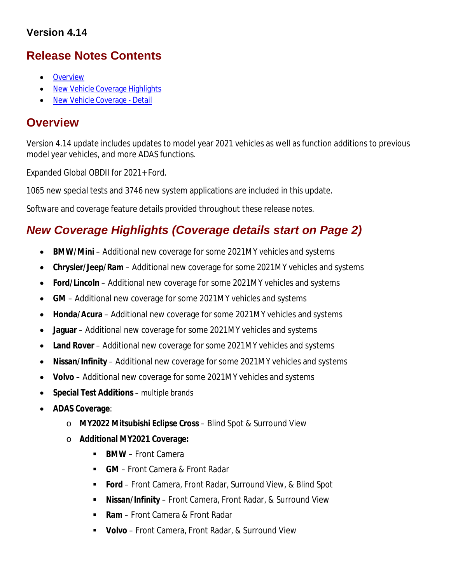## **Version 4.14**

# **Release Notes Contents**

- **Overview**
- New Vehicle Coverage Highlights
- New Vehicle Coverage Detail

# **Overview**

Version 4.14 update includes updates to model year 2021 vehicles as well as function additions to previous model year vehicles, and more ADAS functions.

Expanded Global OBDII for 2021+ Ford.

1065 new special tests and 3746 new system applications are included in this update.

Software and coverage feature details provided throughout these release notes.

# *New Coverage Highlights (Coverage details start on Page 2)*

- **BMW/Mini** Additional new coverage for some 2021MY vehicles and systems
- **Chrysler/Jeep/Ram** Additional new coverage for some 2021MY vehicles and systems
- **Ford/Lincoln** Additional new coverage for some 2021MY vehicles and systems
- **GM** Additional new coverage for some 2021MY vehicles and systems
- **Honda/Acura** Additional new coverage for some 2021MY vehicles and systems
- **Jaguar** Additional new coverage for some 2021MY vehicles and systems
- **Land Rover** Additional new coverage for some 2021MY vehicles and systems
- **Nissan/Infinity** Additional new coverage for some 2021MY vehicles and systems
- **Volvo**  Additional new coverage for some 2021MY vehicles and systems
- **Special Test Additions**  multiple brands
- **ADAS Coverage**:
	- o **MY2022 Mitsubishi Eclipse Cross** Blind Spot & Surround View
	- o **Additional MY2021 Coverage:**
		- **BMW** Front Camera
		- **GM**  Front Camera & Front Radar
		- **Ford**  Front Camera, Front Radar, Surround View, & Blind Spot
		- **Nissan/Infinity** Front Camera, Front Radar, & Surround View
		- **Ram** Front Camera & Front Radar
		- **Volvo** Front Camera, Front Radar, & Surround View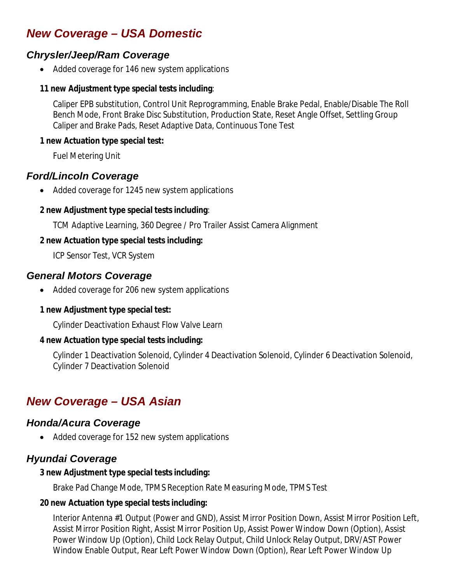# *New Coverage – USA Domestic*

## *Chrysler/Jeep/Ram Coverage*

• Added coverage for 146 new system applications

#### **11 new Adjustment type special tests including**:

Caliper EPB substitution, Control Unit Reprogramming, Enable Brake Pedal, Enable/Disable The Roll Bench Mode, Front Brake Disc Substitution, Production State, Reset Angle Offset, Settling Group Caliper and Brake Pads, Reset Adaptive Data, Continuous Tone Test

#### **1 new Actuation type special test:**

Fuel Metering Unit

## *Ford/Lincoln Coverage*

Added coverage for 1245 new system applications

#### **2 new Adjustment type special tests including**:

TCM Adaptive Learning, 360 Degree / Pro Trailer Assist Camera Alignment

#### **2 new Actuation type special tests including:**

ICP Sensor Test, VCR System

## *General Motors Coverage*

• Added coverage for 206 new system applications

### **1 new Adjustment type special test:**

Cylinder Deactivation Exhaust Flow Valve Learn

### **4 new Actuation type special tests including:**

Cylinder 1 Deactivation Solenoid, Cylinder 4 Deactivation Solenoid, Cylinder 6 Deactivation Solenoid, Cylinder 7 Deactivation Solenoid

# *New Coverage – USA Asian*

## *Honda/Acura Coverage*

• Added coverage for 152 new system applications

# *Hyundai Coverage*

#### **3 new Adjustment type special tests including:**

Brake Pad Change Mode, TPMS Reception Rate Measuring Mode, TPMS Test

### **20 new Actuation type special tests including:**

Interior Antenna #1 Output (Power and GND), Assist Mirror Position Down, Assist Mirror Position Left, Assist Mirror Position Right, Assist Mirror Position Up, Assist Power Window Down (Option), Assist Power Window Up (Option), Child Lock Relay Output, Child Unlock Relay Output, DRV/AST Power Window Enable Output, Rear Left Power Window Down (Option), Rear Left Power Window Up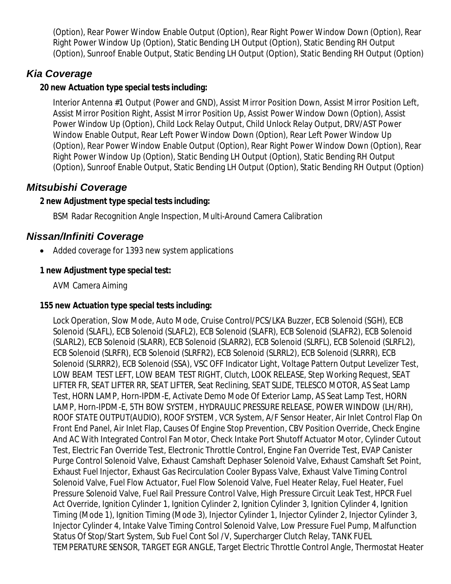(Option), Rear Power Window Enable Output (Option), Rear Right Power Window Down (Option), Rear Right Power Window Up (Option), Static Bending LH Output (Option), Static Bending RH Output (Option), Sunroof Enable Output, Static Bending LH Output (Option), Static Bending RH Output (Option)

## *Kia Coverage*

#### **20 new Actuation type special tests including:**

Interior Antenna #1 Output (Power and GND), Assist Mirror Position Down, Assist Mirror Position Left, Assist Mirror Position Right, Assist Mirror Position Up, Assist Power Window Down (Option), Assist Power Window Up (Option), Child Lock Relay Output, Child Unlock Relay Output, DRV/AST Power Window Enable Output, Rear Left Power Window Down (Option), Rear Left Power Window Up (Option), Rear Power Window Enable Output (Option), Rear Right Power Window Down (Option), Rear Right Power Window Up (Option), Static Bending LH Output (Option), Static Bending RH Output (Option), Sunroof Enable Output, Static Bending LH Output (Option), Static Bending RH Output (Option)

## *Mitsubishi Coverage*

#### **2 new Adjustment type special tests including:**

BSM Radar Recognition Angle Inspection, Multi-Around Camera Calibration

## *Nissan/Infiniti Coverage*

Added coverage for 1393 new system applications

#### **1 new Adjustment type special test:**

AVM Camera Aiming

#### **155 new Actuation type special tests including:**

Lock Operation, Slow Mode, Auto Mode, Cruise Control/PCS/LKA Buzzer, ECB Solenoid (SGH), ECB Solenoid (SLAFL), ECB Solenoid (SLAFL2), ECB Solenoid (SLAFR), ECB Solenoid (SLAFR2), ECB Solenoid (SLARL2), ECB Solenoid (SLARR), ECB Solenoid (SLARR2), ECB Solenoid (SLRFL), ECB Solenoid (SLRFL2), ECB Solenoid (SLRFR), ECB Solenoid (SLRFR2), ECB Solenoid (SLRRL2), ECB Solenoid (SLRRR), ECB Solenoid (SLRRR2), ECB Solenoid (SSA), VSC OFF Indicator Light, Voltage Pattern Output Levelizer Test, LOW BEAM TEST LEFT, LOW BEAM TEST RIGHT, Clutch, LOOK RELEASE, Step Working Request, SEAT LIFTER FR, SEAT LIFTER RR, SEAT LIFTER, Seat Reclining, SEAT SLIDE, TELESCO MOTOR, AS Seat Lamp Test, HORN LAMP, Horn-IPDM-E, Activate Demo Mode Of Exterior Lamp, AS Seat Lamp Test, HORN LAMP, Horn-IPDM-E, 5TH BOW SYSTEM, HYDRAULIC PRESSURE RELEASE, POWER WINDOW (LH/RH), ROOF STATE OUTPUT(AUDIO), ROOF SYSTEM, VCR System, A/F Sensor Heater, Air Inlet Control Flap On Front End Panel, Air Inlet Flap, Causes Of Engine Stop Prevention, CBV Position Override, Check Engine And AC With Integrated Control Fan Motor, Check Intake Port Shutoff Actuator Motor, Cylinder Cutout Test, Electric Fan Override Test, Electronic Throttle Control, Engine Fan Override Test, EVAP Canister Purge Control Solenoid Valve, Exhaust Camshaft Dephaser Solenoid Valve, Exhaust Camshaft Set Point, Exhaust Fuel Injector, Exhaust Gas Recirculation Cooler Bypass Valve, Exhaust Valve Timing Control Solenoid Valve, Fuel Flow Actuator, Fuel Flow Solenoid Valve, Fuel Heater Relay, Fuel Heater, Fuel Pressure Solenoid Valve, Fuel Rail Pressure Control Valve, High Pressure Circuit Leak Test, HPCR Fuel Act Override, Ignition Cylinder 1, Ignition Cylinder 2, Ignition Cylinder 3, Ignition Cylinder 4, Ignition Timing (Mode 1), Ignition Timing (Mode 3), Injector Cylinder 1, Injector Cylinder 2, Injector Cylinder 3, Injector Cylinder 4, Intake Valve Timing Control Solenoid Valve, Low Pressure Fuel Pump, Malfunction Status Of Stop/Start System, Sub Fuel Cont Sol /V, Supercharger Clutch Relay, TANK FUEL TEMPERATURE SENSOR, TARGET EGR ANGLE, Target Electric Throttle Control Angle, Thermostat Heater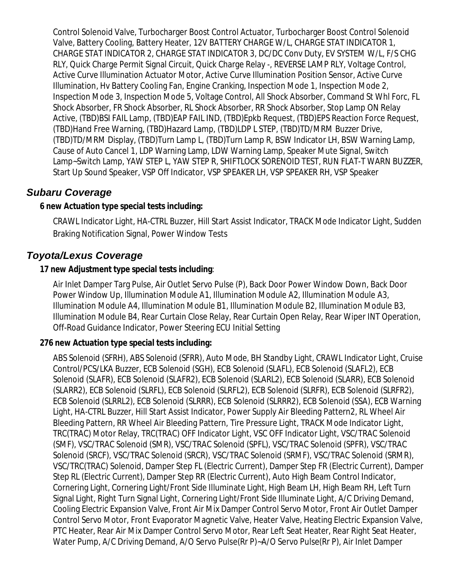Control Solenoid Valve, Turbocharger Boost Control Actuator, Turbocharger Boost Control Solenoid Valve, Battery Cooling, Battery Heater, 12V BATTERY CHARGE W/L, CHARGE STAT INDICATOR 1, CHARGE STAT INDICATOR 2, CHARGE STAT INDICATOR 3, DC/DC Conv Duty, EV SYSTEM W/L, F/S CHG RLY, Quick Charge Permit Signal Circuit, Quick Charge Relay -, REVERSE LAMP RLY, Voltage Control, Active Curve Illumination Actuator Motor, Active Curve Illumination Position Sensor, Active Curve Illumination, Hv Battery Cooling Fan, Engine Cranking, Inspection Mode 1, Inspection Mode 2, Inspection Mode 3, Inspection Mode 5, Voltage Control, All Shock Absorber, Command St Whl Forc, FL Shock Absorber, FR Shock Absorber, RL Shock Absorber, RR Shock Absorber, Stop Lamp ON Relay Active, (TBD)BSI FAIL Lamp, (TBD)EAP FAIL IND, (TBD)Epkb Request, (TBD)EPS Reaction Force Request, (TBD)Hand Free Warning, (TBD)Hazard Lamp, (TBD)LDP L STEP, (TBD)TD/MRM Buzzer Drive, (TBD)TD/MRM Display, (TBD)Turn Lamp L, (TBD)Turn Lamp R, BSW Indicator LH, BSW Warning Lamp, Cause of Auto Cancel 1, LDP Warning Lamp, LDW Warning Lamp, Speaker Mute Signal, Switch Lamp~Switch Lamp, YAW STEP L, YAW STEP R, SHIFTLOCK SORENOID TEST, RUN FLAT-T WARN BUZZER, Start Up Sound Speaker, VSP Off Indicator, VSP SPEAKER LH, VSP SPEAKER RH, VSP Speaker

## *Subaru Coverage*

#### **6 new Actuation type special tests including:**

CRAWL Indicator Light, HA-CTRL Buzzer, Hill Start Assist Indicator, TRACK Mode Indicator Light, Sudden Braking Notification Signal, Power Window Tests

## *Toyota/Lexus Coverage*

#### **17 new Adjustment type special tests including**:

Air Inlet Damper Targ Pulse, Air Outlet Servo Pulse (P), Back Door Power Window Down, Back Door Power Window Up, Illumination Module A1, Illumination Module A2, Illumination Module A3, Illumination Module A4, Illumination Module B1, Illumination Module B2, Illumination Module B3, Illumination Module B4, Rear Curtain Close Relay, Rear Curtain Open Relay, Rear Wiper INT Operation, Off-Road Guidance Indicator, Power Steering ECU Initial Setting

#### **276 new Actuation type special tests including:**

ABS Solenoid (SFRH), ABS Solenoid (SFRR), Auto Mode, BH Standby Light, CRAWL Indicator Light, Cruise Control/PCS/LKA Buzzer, ECB Solenoid (SGH), ECB Solenoid (SLAFL), ECB Solenoid (SLAFL2), ECB Solenoid (SLAFR), ECB Solenoid (SLAFR2), ECB Solenoid (SLARL2), ECB Solenoid (SLARR), ECB Solenoid (SLARR2), ECB Solenoid (SLRFL), ECB Solenoid (SLRFL2), ECB Solenoid (SLRFR), ECB Solenoid (SLRFR2), ECB Solenoid (SLRRL2), ECB Solenoid (SLRRR), ECB Solenoid (SLRRR2), ECB Solenoid (SSA), ECB Warning Light, HA-CTRL Buzzer, Hill Start Assist Indicator, Power Supply Air Bleeding Pattern2, RL Wheel Air Bleeding Pattern, RR Wheel Air Bleeding Pattern, Tire Pressure Light, TRACK Mode Indicator Light, TRC(TRAC) Motor Relay, TRC(TRAC) OFF Indicator Light, VSC OFF Indicator Light, VSC/TRAC Solenoid (SMF), VSC/TRAC Solenoid (SMR), VSC/TRAC Solenoid (SPFL), VSC/TRAC Solenoid (SPFR), VSC/TRAC Solenoid (SRCF), VSC/TRAC Solenoid (SRCR), VSC/TRAC Solenoid (SRMF), VSC/TRAC Solenoid (SRMR), VSC/TRC(TRAC) Solenoid, Damper Step FL (Electric Current), Damper Step FR (Electric Current), Damper Step RL (Electric Current), Damper Step RR (Electric Current), Auto High Beam Control Indicator, Cornering Light, Cornering Light/Front Side Illuminate Light, High Beam LH, High Beam RH, Left Turn Signal Light, Right Turn Signal Light, Cornering Light/Front Side Illuminate Light, A/C Driving Demand, Cooling Electric Expansion Valve, Front Air Mix Damper Control Servo Motor, Front Air Outlet Damper Control Servo Motor, Front Evaporator Magnetic Valve, Heater Valve, Heating Electric Expansion Valve, PTC Heater, Rear Air Mix Damper Control Servo Motor, Rear Left Seat Heater, Rear Right Seat Heater, Water Pump, A/C Driving Demand, A/O Servo Pulse(Rr P)~A/O Servo Pulse(Rr P), Air Inlet Damper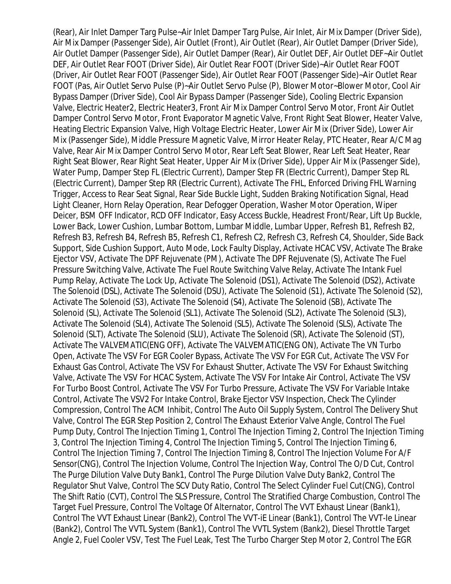(Rear), Air Inlet Damper Targ Pulse~Air Inlet Damper Targ Pulse, Air Inlet, Air Mix Damper (Driver Side), Air Mix Damper (Passenger Side), Air Outlet (Front), Air Outlet (Rear), Air Outlet Damper (Driver Side), Air Outlet Damper (Passenger Side), Air Outlet Damper (Rear), Air Outlet DEF, Air Outlet DEF~Air Outlet DEF, Air Outlet Rear FOOT (Driver Side), Air Outlet Rear FOOT (Driver Side)~Air Outlet Rear FOOT (Driver, Air Outlet Rear FOOT (Passenger Side), Air Outlet Rear FOOT (Passenger Side)~Air Outlet Rear FOOT (Pas, Air Outlet Servo Pulse (P)~Air Outlet Servo Pulse (P), Blower Motor~Blower Motor, Cool Air Bypass Damper (Driver Side), Cool Air Bypass Damper (Passenger Side), Cooling Electric Expansion Valve, Electric Heater2, Electric Heater3, Front Air Mix Damper Control Servo Motor, Front Air Outlet Damper Control Servo Motor, Front Evaporator Magnetic Valve, Front Right Seat Blower, Heater Valve, Heating Electric Expansion Valve, High Voltage Electric Heater, Lower Air Mix (Driver Side), Lower Air Mix (Passenger Side), Middle Pressure Magnetic Valve, Mirror Heater Relay, PTC Heater, Rear A/C Mag Valve, Rear Air Mix Damper Control Servo Motor, Rear Left Seat Blower, Rear Left Seat Heater, Rear Right Seat Blower, Rear Right Seat Heater, Upper Air Mix (Driver Side), Upper Air Mix (Passenger Side), Water Pump, Damper Step FL (Electric Current), Damper Step FR (Electric Current), Damper Step RL (Electric Current), Damper Step RR (Electric Current), Activate The FHL, Enforced Driving FHL Warning Trigger, Access to Rear Seat Signal, Rear Side Buckle Light, Sudden Braking Notification Signal, Head Light Cleaner, Horn Relay Operation, Rear Defogger Operation, Washer Motor Operation, Wiper Deicer, BSM OFF Indicator, RCD OFF Indicator, Easy Access Buckle, Headrest Front/Rear, Lift Up Buckle, Lower Back, Lower Cushion, Lumbar Bottom, Lumbar Middle, Lumbar Upper, Refresh B1, Refresh B2, Refresh B3, Refresh B4, Refresh B5, Refresh C1, Refresh C2, Refresh C3, Refresh C4, Shoulder, Side Back Support, Side Cushion Support, Auto Mode, Lock Faulty Display, Activate HCAC VSV, Activate The Brake Ejector VSV, Activate The DPF Rejuvenate (PM), Activate The DPF Rejuvenate (S), Activate The Fuel Pressure Switching Valve, Activate The Fuel Route Switching Valve Relay, Activate The Intank Fuel Pump Relay, Activate The Lock Up, Activate The Solenoid (DS1), Activate The Solenoid (DS2), Activate The Solenoid (DSL), Activate The Solenoid (DSU), Activate The Solenoid (S1), Activate The Solenoid (S2), Activate The Solenoid (S3), Activate The Solenoid (S4), Activate The Solenoid (SB), Activate The Solenoid (SL), Activate The Solenoid (SL1), Activate The Solenoid (SL2), Activate The Solenoid (SL3), Activate The Solenoid (SL4), Activate The Solenoid (SL5), Activate The Solenoid (SLS), Activate The Solenoid (SLT), Activate The Solenoid (SLU), Activate The Solenoid (SR), Activate The Solenoid (ST), Activate The VALVEMATIC(ENG OFF), Activate The VALVEMATIC(ENG ON), Activate The VN Turbo Open, Activate The VSV For EGR Cooler Bypass, Activate The VSV For EGR Cut, Activate The VSV For Exhaust Gas Control, Activate The VSV For Exhaust Shutter, Activate The VSV For Exhaust Switching Valve, Activate The VSV For HCAC System, Activate The VSV For Intake Air Control, Activate The VSV For Turbo Boost Control, Activate The VSV For Turbo Pressure, Activate The VSV For Variable Intake Control, Activate The VSV2 For Intake Control, Brake Ejector VSV Inspection, Check The Cylinder Compression, Control The ACM Inhibit, Control The Auto Oil Supply System, Control The Delivery Shut Valve, Control The EGR Step Position 2, Control The Exhaust Exterior Valve Angle, Control The Fuel Pump Duty, Control The Injection Timing 1, Control The Injection Timing 2, Control The Injection Timing 3, Control The Injection Timing 4, Control The Injection Timing 5, Control The Injection Timing 6, Control The Injection Timing 7, Control The Injection Timing 8, Control The Injection Volume For A/F Sensor(CNG), Control The Injection Volume, Control The Injection Way, Control The O/D Cut, Control The Purge Dilution Valve Duty Bank1, Control The Purge Dilution Valve Duty Bank2, Control The Regulator Shut Valve, Control The SCV Duty Ratio, Control The Select Cylinder Fuel Cut(CNG), Control The Shift Ratio (CVT), Control The SLS Pressure, Control The Stratified Charge Combustion, Control The Target Fuel Pressure, Control The Voltage Of Alternator, Control The VVT Exhaust Linear (Bank1), Control The VVT Exhaust Linear (Bank2), Control The VVT-iE Linear (Bank1), Control The VVT-Ie Linear (Bank2), Control The VVTL System (Bank1), Control The VVTL System (Bank2), Diesel Throttle Target Angle 2, Fuel Cooler VSV, Test The Fuel Leak, Test The Turbo Charger Step Motor 2, Control The EGR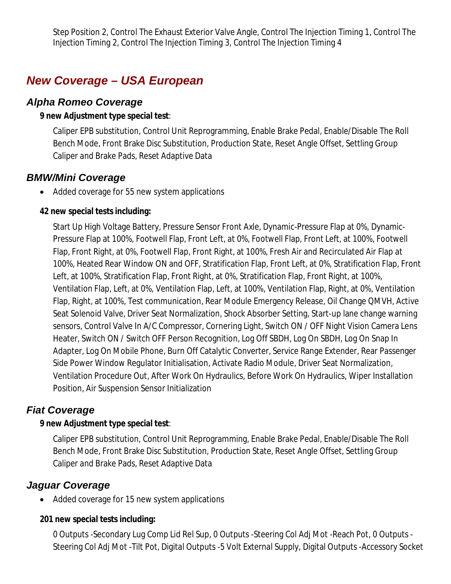Step Position 2, Control The Exhaust Exterior Valve Angle, Control The Injection Timing 1, Control The Injection Timing 2, Control The Injection Timing 3, Control The Injection Timing 4

# *New Coverage – USA European*

### *Alpha Romeo Coverage*

#### **9 new Adjustment type special test**:

Caliper EPB substitution, Control Unit Reprogramming, Enable Brake Pedal, Enable/Disable The Roll Bench Mode, Front Brake Disc Substitution, Production State, Reset Angle Offset, Settling Group Caliper and Brake Pads, Reset Adaptive Data

## *BMW/Mini Coverage*

Added coverage for 55 new system applications

#### **42 new special tests including:**

Start Up High Voltage Battery, Pressure Sensor Front Axle, Dynamic-Pressure Flap at 0%, Dynamic-Pressure Flap at 100%, Footwell Flap, Front Left, at 0%, Footwell Flap, Front Left, at 100%, Footwell Flap, Front Right, at 0%, Footwell Flap, Front Right, at 100%, Fresh Air and Recirculated Air Flap at 100%, Heated Rear Window ON and OFF, Stratification Flap, Front Left, at 0%, Stratification Flap, Front Left, at 100%, Stratification Flap, Front Right, at 0%, Stratification Flap, Front Right, at 100%, Ventilation Flap, Left, at 0%, Ventilation Flap, Left, at 100%, Ventilation Flap, Right, at 0%, Ventilation Flap, Right, at 100%, Test communication, Rear Module Emergency Release, Oil Change QMVH, Active Seat Solenoid Valve, Driver Seat Normalization, Shock Absorber Setting, Start-up lane change warning sensors, Control Valve In A/C Compressor, Cornering Light, Switch ON / OFF Night Vision Camera Lens Heater, Switch ON / Switch OFF Person Recognition, Log Off SBDH, Log On SBDH, Log On Snap In Adapter, Log On Mobile Phone, Burn Off Catalytic Converter, Service Range Extender, Rear Passenger Side Power Window Regulator Initialisation, Activate Radio Module, Driver Seat Normalization, Ventilation Procedure Out, After Work On Hydraulics, Before Work On Hydraulics, Wiper Installation Position, Air Suspension Sensor Initialization

## *Fiat Coverage*

#### **9 new Adjustment type special test**:

Caliper EPB substitution, Control Unit Reprogramming, Enable Brake Pedal, Enable/Disable The Roll Bench Mode, Front Brake Disc Substitution, Production State, Reset Angle Offset, Settling Group Caliper and Brake Pads, Reset Adaptive Data

# *Jaguar Coverage*

Added coverage for 15 new system applications

## **201 new special tests including:**

0 Outputs -Secondary Lug Comp Lid Rel Sup, 0 Outputs -Steering Col Adj Mot -Reach Pot, 0 Outputs - Steering Col Adj Mot -Tilt Pot, Digital Outputs -5 Volt External Supply, Digital Outputs -Accessory Socket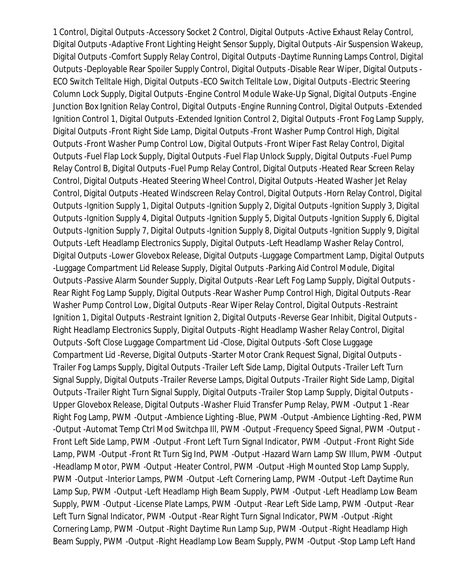1 Control, Digital Outputs -Accessory Socket 2 Control, Digital Outputs -Active Exhaust Relay Control, Digital Outputs -Adaptive Front Lighting Height Sensor Supply, Digital Outputs -Air Suspension Wakeup, Digital Outputs -Comfort Supply Relay Control, Digital Outputs -Daytime Running Lamps Control, Digital Outputs -Deployable Rear Spoiler Supply Control, Digital Outputs -Disable Rear Wiper, Digital Outputs - ECO Switch Telltale High, Digital Outputs -ECO Switch Telltale Low, Digital Outputs -Electric Steering Column Lock Supply, Digital Outputs -Engine Control Module Wake-Up Signal, Digital Outputs -Engine Junction Box Ignition Relay Control, Digital Outputs -Engine Running Control, Digital Outputs -Extended Ignition Control 1, Digital Outputs -Extended Ignition Control 2, Digital Outputs -Front Fog Lamp Supply, Digital Outputs -Front Right Side Lamp, Digital Outputs -Front Washer Pump Control High, Digital Outputs -Front Washer Pump Control Low, Digital Outputs -Front Wiper Fast Relay Control, Digital Outputs -Fuel Flap Lock Supply, Digital Outputs -Fuel Flap Unlock Supply, Digital Outputs -Fuel Pump Relay Control B, Digital Outputs -Fuel Pump Relay Control, Digital Outputs -Heated Rear Screen Relay Control, Digital Outputs -Heated Steering Wheel Control, Digital Outputs -Heated Washer Jet Relay Control, Digital Outputs -Heated Windscreen Relay Control, Digital Outputs -Horn Relay Control, Digital Outputs -Ignition Supply 1, Digital Outputs -Ignition Supply 2, Digital Outputs -Ignition Supply 3, Digital Outputs -Ignition Supply 4, Digital Outputs -Ignition Supply 5, Digital Outputs -Ignition Supply 6, Digital Outputs -Ignition Supply 7, Digital Outputs -Ignition Supply 8, Digital Outputs -Ignition Supply 9, Digital Outputs -Left Headlamp Electronics Supply, Digital Outputs -Left Headlamp Washer Relay Control, Digital Outputs -Lower Glovebox Release, Digital Outputs -Luggage Compartment Lamp, Digital Outputs -Luggage Compartment Lid Release Supply, Digital Outputs -Parking Aid Control Module, Digital Outputs -Passive Alarm Sounder Supply, Digital Outputs -Rear Left Fog Lamp Supply, Digital Outputs - Rear Right Fog Lamp Supply, Digital Outputs -Rear Washer Pump Control High, Digital Outputs -Rear Washer Pump Control Low, Digital Outputs -Rear Wiper Relay Control, Digital Outputs -Restraint Ignition 1, Digital Outputs -Restraint Ignition 2, Digital Outputs -Reverse Gear Inhibit, Digital Outputs - Right Headlamp Electronics Supply, Digital Outputs -Right Headlamp Washer Relay Control, Digital Outputs -Soft Close Luggage Compartment Lid -Close, Digital Outputs -Soft Close Luggage Compartment Lid -Reverse, Digital Outputs -Starter Motor Crank Request Signal, Digital Outputs - Trailer Fog Lamps Supply, Digital Outputs -Trailer Left Side Lamp, Digital Outputs -Trailer Left Turn Signal Supply, Digital Outputs -Trailer Reverse Lamps, Digital Outputs -Trailer Right Side Lamp, Digital Outputs -Trailer Right Turn Signal Supply, Digital Outputs -Trailer Stop Lamp Supply, Digital Outputs - Upper Glovebox Release, Digital Outputs -Washer Fluid Transfer Pump Relay, PWM -Output 1 -Rear Right Fog Lamp, PWM -Output -Ambience Lighting -Blue, PWM -Output -Ambience Lighting -Red, PWM -Output -Automat Temp Ctrl Mod Switchpa Ill, PWM -Output -Frequency Speed Signal, PWM -Output - Front Left Side Lamp, PWM -Output -Front Left Turn Signal Indicator, PWM -Output -Front Right Side Lamp, PWM -Output -Front Rt Turn Sig Ind, PWM -Output -Hazard Warn Lamp SW Illum, PWM -Output -Headlamp Motor, PWM -Output -Heater Control, PWM -Output -High Mounted Stop Lamp Supply, PWM -Output -Interior Lamps, PWM -Output -Left Cornering Lamp, PWM -Output -Left Daytime Run Lamp Sup, PWM -Output -Left Headlamp High Beam Supply, PWM -Output -Left Headlamp Low Beam Supply, PWM -Output -License Plate Lamps, PWM -Output -Rear Left Side Lamp, PWM -Output -Rear Left Turn Signal Indicator, PWM -Output -Rear Right Turn Signal Indicator, PWM -Output -Right Cornering Lamp, PWM -Output -Right Daytime Run Lamp Sup, PWM -Output -Right Headlamp High Beam Supply, PWM -Output -Right Headlamp Low Beam Supply, PWM -Output -Stop Lamp Left Hand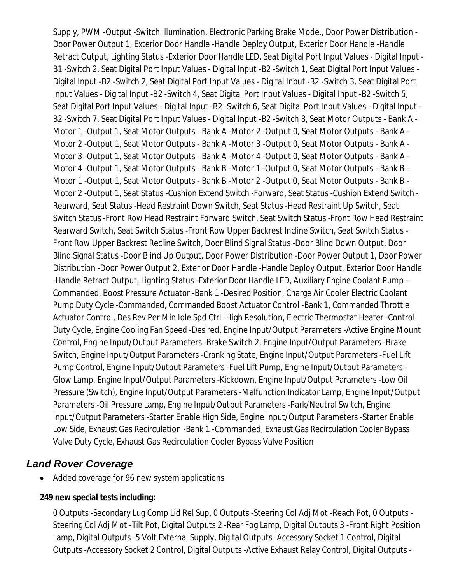Supply, PWM -Output -Switch Illumination, Electronic Parking Brake Mode., Door Power Distribution - Door Power Output 1, Exterior Door Handle -Handle Deploy Output, Exterior Door Handle -Handle Retract Output, Lighting Status -Exterior Door Handle LED, Seat Digital Port Input Values - Digital Input - B1 -Switch 2, Seat Digital Port Input Values - Digital Input -B2 -Switch 1, Seat Digital Port Input Values - Digital Input -B2 -Switch 2, Seat Digital Port Input Values - Digital Input -B2 -Switch 3, Seat Digital Port Input Values - Digital Input -B2 -Switch 4, Seat Digital Port Input Values - Digital Input -B2 -Switch 5, Seat Digital Port Input Values - Digital Input -B2 -Switch 6, Seat Digital Port Input Values - Digital Input - B2 -Switch 7, Seat Digital Port Input Values - Digital Input -B2 -Switch 8, Seat Motor Outputs - Bank A - Motor 1 -Output 1, Seat Motor Outputs - Bank A -Motor 2 -Output 0, Seat Motor Outputs - Bank A - Motor 2 -Output 1, Seat Motor Outputs - Bank A -Motor 3 -Output 0, Seat Motor Outputs - Bank A - Motor 3 -Output 1, Seat Motor Outputs - Bank A -Motor 4 -Output 0, Seat Motor Outputs - Bank A - Motor 4 -Output 1, Seat Motor Outputs - Bank B -Motor 1 -Output 0, Seat Motor Outputs - Bank B - Motor 1 -Output 1, Seat Motor Outputs - Bank B -Motor 2 -Output 0, Seat Motor Outputs - Bank B - Motor 2 -Output 1, Seat Status -Cushion Extend Switch -Forward, Seat Status -Cushion Extend Switch - Rearward, Seat Status -Head Restraint Down Switch, Seat Status -Head Restraint Up Switch, Seat Switch Status -Front Row Head Restraint Forward Switch, Seat Switch Status -Front Row Head Restraint Rearward Switch, Seat Switch Status -Front Row Upper Backrest Incline Switch, Seat Switch Status - Front Row Upper Backrest Recline Switch, Door Blind Signal Status -Door Blind Down Output, Door Blind Signal Status -Door Blind Up Output, Door Power Distribution -Door Power Output 1, Door Power Distribution -Door Power Output 2, Exterior Door Handle -Handle Deploy Output, Exterior Door Handle -Handle Retract Output, Lighting Status -Exterior Door Handle LED, Auxiliary Engine Coolant Pump - Commanded, Boost Pressure Actuator -Bank 1 -Desired Position, Charge Air Cooler Electric Coolant Pump Duty Cycle -Commanded, Commanded Boost Actuator Control -Bank 1, Commanded Throttle Actuator Control, Des Rev Per Min Idle Spd Ctrl -High Resolution, Electric Thermostat Heater -Control Duty Cycle, Engine Cooling Fan Speed -Desired, Engine Input/Output Parameters -Active Engine Mount Control, Engine Input/Output Parameters -Brake Switch 2, Engine Input/Output Parameters -Brake Switch, Engine Input/Output Parameters -Cranking State, Engine Input/Output Parameters -Fuel Lift Pump Control, Engine Input/Output Parameters -Fuel Lift Pump, Engine Input/Output Parameters - Glow Lamp, Engine Input/Output Parameters -Kickdown, Engine Input/Output Parameters -Low Oil Pressure (Switch), Engine Input/Output Parameters -Malfunction Indicator Lamp, Engine Input/Output Parameters -Oil Pressure Lamp, Engine Input/Output Parameters -Park/Neutral Switch, Engine Input/Output Parameters -Starter Enable High Side, Engine Input/Output Parameters -Starter Enable Low Side, Exhaust Gas Recirculation -Bank 1 -Commanded, Exhaust Gas Recirculation Cooler Bypass Valve Duty Cycle, Exhaust Gas Recirculation Cooler Bypass Valve Position

## *Land Rover Coverage*

• Added coverage for 96 new system applications

### **249 new special tests including:**

0 Outputs -Secondary Lug Comp Lid Rel Sup, 0 Outputs -Steering Col Adj Mot -Reach Pot, 0 Outputs - Steering Col Adj Mot -Tilt Pot, Digital Outputs 2 -Rear Fog Lamp, Digital Outputs 3 -Front Right Position Lamp, Digital Outputs -5 Volt External Supply, Digital Outputs -Accessory Socket 1 Control, Digital Outputs -Accessory Socket 2 Control, Digital Outputs -Active Exhaust Relay Control, Digital Outputs -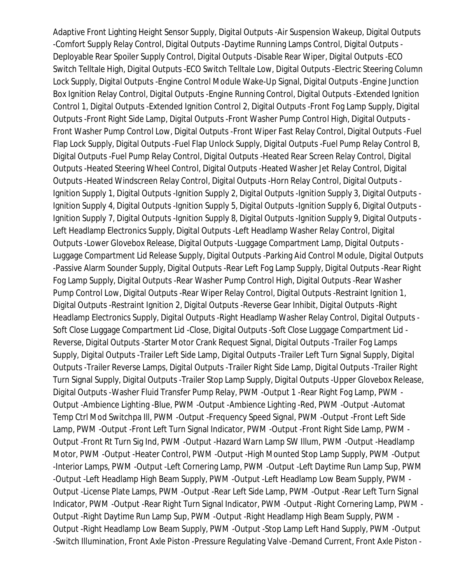Adaptive Front Lighting Height Sensor Supply, Digital Outputs -Air Suspension Wakeup, Digital Outputs -Comfort Supply Relay Control, Digital Outputs -Daytime Running Lamps Control, Digital Outputs - Deployable Rear Spoiler Supply Control, Digital Outputs -Disable Rear Wiper, Digital Outputs -ECO Switch Telltale High, Digital Outputs -ECO Switch Telltale Low, Digital Outputs -Electric Steering Column Lock Supply, Digital Outputs -Engine Control Module Wake-Up Signal, Digital Outputs -Engine Junction Box Ignition Relay Control, Digital Outputs -Engine Running Control, Digital Outputs -Extended Ignition Control 1, Digital Outputs -Extended Ignition Control 2, Digital Outputs -Front Fog Lamp Supply, Digital Outputs -Front Right Side Lamp, Digital Outputs -Front Washer Pump Control High, Digital Outputs - Front Washer Pump Control Low, Digital Outputs -Front Wiper Fast Relay Control, Digital Outputs -Fuel Flap Lock Supply, Digital Outputs -Fuel Flap Unlock Supply, Digital Outputs -Fuel Pump Relay Control B, Digital Outputs -Fuel Pump Relay Control, Digital Outputs -Heated Rear Screen Relay Control, Digital Outputs -Heated Steering Wheel Control, Digital Outputs -Heated Washer Jet Relay Control, Digital Outputs -Heated Windscreen Relay Control, Digital Outputs -Horn Relay Control, Digital Outputs - Ignition Supply 1, Digital Outputs -Ignition Supply 2, Digital Outputs -Ignition Supply 3, Digital Outputs - Ignition Supply 4, Digital Outputs -Ignition Supply 5, Digital Outputs -Ignition Supply 6, Digital Outputs - Ignition Supply 7, Digital Outputs -Ignition Supply 8, Digital Outputs -Ignition Supply 9, Digital Outputs - Left Headlamp Electronics Supply, Digital Outputs -Left Headlamp Washer Relay Control, Digital Outputs -Lower Glovebox Release, Digital Outputs -Luggage Compartment Lamp, Digital Outputs - Luggage Compartment Lid Release Supply, Digital Outputs -Parking Aid Control Module, Digital Outputs -Passive Alarm Sounder Supply, Digital Outputs -Rear Left Fog Lamp Supply, Digital Outputs -Rear Right Fog Lamp Supply, Digital Outputs -Rear Washer Pump Control High, Digital Outputs -Rear Washer Pump Control Low, Digital Outputs -Rear Wiper Relay Control, Digital Outputs -Restraint Ignition 1, Digital Outputs -Restraint Ignition 2, Digital Outputs -Reverse Gear Inhibit, Digital Outputs -Right Headlamp Electronics Supply, Digital Outputs -Right Headlamp Washer Relay Control, Digital Outputs - Soft Close Luggage Compartment Lid -Close, Digital Outputs -Soft Close Luggage Compartment Lid - Reverse, Digital Outputs -Starter Motor Crank Request Signal, Digital Outputs -Trailer Fog Lamps Supply, Digital Outputs -Trailer Left Side Lamp, Digital Outputs -Trailer Left Turn Signal Supply, Digital Outputs -Trailer Reverse Lamps, Digital Outputs -Trailer Right Side Lamp, Digital Outputs -Trailer Right Turn Signal Supply, Digital Outputs -Trailer Stop Lamp Supply, Digital Outputs -Upper Glovebox Release, Digital Outputs -Washer Fluid Transfer Pump Relay, PWM -Output 1 -Rear Right Fog Lamp, PWM - Output -Ambience Lighting -Blue, PWM -Output -Ambience Lighting -Red, PWM -Output -Automat Temp Ctrl Mod Switchpa Ill, PWM -Output -Frequency Speed Signal, PWM -Output -Front Left Side Lamp, PWM -Output -Front Left Turn Signal Indicator, PWM -Output -Front Right Side Lamp, PWM - Output -Front Rt Turn Sig Ind, PWM -Output -Hazard Warn Lamp SW Illum, PWM -Output -Headlamp Motor, PWM -Output -Heater Control, PWM -Output -High Mounted Stop Lamp Supply, PWM -Output -Interior Lamps, PWM -Output -Left Cornering Lamp, PWM -Output -Left Daytime Run Lamp Sup, PWM -Output -Left Headlamp High Beam Supply, PWM -Output -Left Headlamp Low Beam Supply, PWM - Output -License Plate Lamps, PWM -Output -Rear Left Side Lamp, PWM -Output -Rear Left Turn Signal Indicator, PWM -Output -Rear Right Turn Signal Indicator, PWM -Output -Right Cornering Lamp, PWM - Output -Right Daytime Run Lamp Sup, PWM -Output -Right Headlamp High Beam Supply, PWM - Output -Right Headlamp Low Beam Supply, PWM -Output -Stop Lamp Left Hand Supply, PWM -Output -Switch Illumination, Front Axle Piston -Pressure Regulating Valve -Demand Current, Front Axle Piston -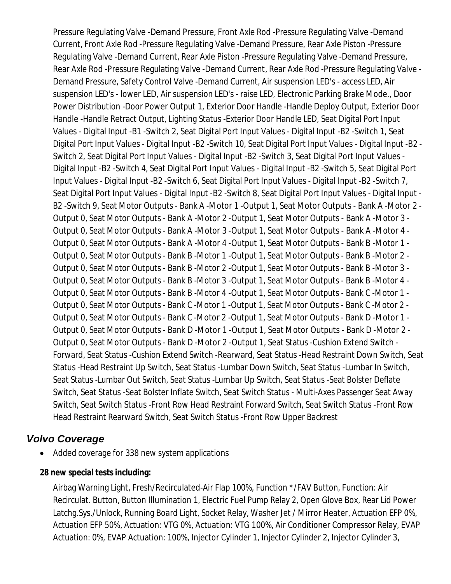Pressure Regulating Valve -Demand Pressure, Front Axle Rod -Pressure Regulating Valve -Demand Current, Front Axle Rod -Pressure Regulating Valve -Demand Pressure, Rear Axle Piston -Pressure Regulating Valve -Demand Current, Rear Axle Piston -Pressure Regulating Valve -Demand Pressure, Rear Axle Rod -Pressure Regulating Valve -Demand Current, Rear Axle Rod -Pressure Regulating Valve - Demand Pressure, Safety Control Valve -Demand Current, Air suspension LED's - access LED, Air suspension LED's - lower LED, Air suspension LED's - raise LED, Electronic Parking Brake Mode., Door Power Distribution -Door Power Output 1, Exterior Door Handle -Handle Deploy Output, Exterior Door Handle -Handle Retract Output, Lighting Status -Exterior Door Handle LED, Seat Digital Port Input Values - Digital Input -B1 -Switch 2, Seat Digital Port Input Values - Digital Input -B2 -Switch 1, Seat Digital Port Input Values - Digital Input -B2 -Switch 10, Seat Digital Port Input Values - Digital Input -B2 - Switch 2, Seat Digital Port Input Values - Digital Input -B2 -Switch 3, Seat Digital Port Input Values - Digital Input -B2 -Switch 4, Seat Digital Port Input Values - Digital Input -B2 -Switch 5, Seat Digital Port Input Values - Digital Input -B2 -Switch 6, Seat Digital Port Input Values - Digital Input -B2 -Switch 7, Seat Digital Port Input Values - Digital Input -B2 -Switch 8, Seat Digital Port Input Values - Digital Input - B2 -Switch 9, Seat Motor Outputs - Bank A -Motor 1 -Output 1, Seat Motor Outputs - Bank A -Motor 2 - Output 0, Seat Motor Outputs - Bank A -Motor 2 -Output 1, Seat Motor Outputs - Bank A -Motor 3 - Output 0, Seat Motor Outputs - Bank A -Motor 3 -Output 1, Seat Motor Outputs - Bank A -Motor 4 - Output 0, Seat Motor Outputs - Bank A -Motor 4 -Output 1, Seat Motor Outputs - Bank B -Motor 1 - Output 0, Seat Motor Outputs - Bank B -Motor 1 -Output 1, Seat Motor Outputs - Bank B -Motor 2 - Output 0, Seat Motor Outputs - Bank B -Motor 2 -Output 1, Seat Motor Outputs - Bank B -Motor 3 - Output 0, Seat Motor Outputs - Bank B -Motor 3 -Output 1, Seat Motor Outputs - Bank B -Motor 4 - Output 0, Seat Motor Outputs - Bank B -Motor 4 -Output 1, Seat Motor Outputs - Bank C -Motor 1 - Output 0, Seat Motor Outputs - Bank C -Motor 1 -Output 1, Seat Motor Outputs - Bank C -Motor 2 - Output 0, Seat Motor Outputs - Bank C -Motor 2 -Output 1, Seat Motor Outputs - Bank D -Motor 1 - Output 0, Seat Motor Outputs - Bank D -Motor 1 -Output 1, Seat Motor Outputs - Bank D -Motor 2 - Output 0, Seat Motor Outputs - Bank D -Motor 2 -Output 1, Seat Status -Cushion Extend Switch - Forward, Seat Status -Cushion Extend Switch -Rearward, Seat Status -Head Restraint Down Switch, Seat Status -Head Restraint Up Switch, Seat Status -Lumbar Down Switch, Seat Status -Lumbar In Switch, Seat Status -Lumbar Out Switch, Seat Status -Lumbar Up Switch, Seat Status -Seat Bolster Deflate Switch, Seat Status -Seat Bolster Inflate Switch, Seat Switch Status - Multi-Axes Passenger Seat Away Switch, Seat Switch Status -Front Row Head Restraint Forward Switch, Seat Switch Status -Front Row Head Restraint Rearward Switch, Seat Switch Status -Front Row Upper Backrest

# *Volvo Coverage*

- Added coverage for 338 new system applications
- **28 new special tests including:**

Airbag Warning Light, Fresh/Recirculated-Air Flap 100%, Function \*/FAV Button, Function: Air Recirculat. Button, Button Illumination 1, Electric Fuel Pump Relay 2, Open Glove Box, Rear Lid Power Latchg.Sys./Unlock, Running Board Light, Socket Relay, Washer Jet / Mirror Heater, Actuation EFP 0%, Actuation EFP 50%, Actuation: VTG 0%, Actuation: VTG 100%, Air Conditioner Compressor Relay, EVAP Actuation: 0%, EVAP Actuation: 100%, Injector Cylinder 1, Injector Cylinder 2, Injector Cylinder 3,